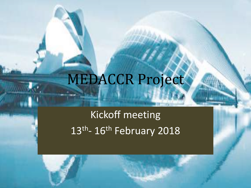# MEDACCR Project

Kickoff meeting 13<sup>th</sup>- 16<sup>th</sup> February 2018

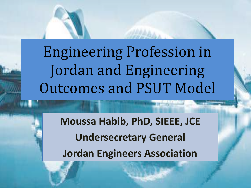Engineering Profession in Jordan and Engineering **Outcomes and PSUT Model** 

> **Moussa Habib, PhD, SIEEE, JCE Undersecretary General Jordan Engineers Association**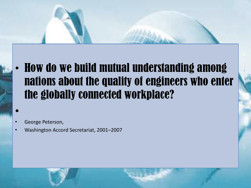#### • How do we build mutual understanding among nations about the quality of engineers who enter the globally connected workplace?

#### • George Peterson,

•

• Washington Accord Secretariat, 2001–2007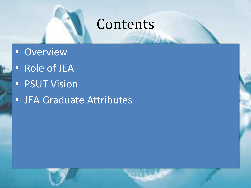#### Contents

- Overview
- Role of JEA
- PSUT Vision
- JEA Graduate Attributes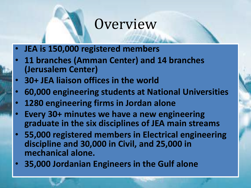#### **Overview**

- **JEA is 150,000 registered members**
- **11 branches (Amman Center) and 14 branches (Jerusalem Center)**
- **30+ JEA liaison offices in the world**
- **60,000 engineering students at National Universities**
- **1280 engineering firms in Jordan alone**
- **Every 30+ minutes we have a new engineering graduate in the six disciplines of JEA main streams**
- **55,000 registered members in Electrical engineering discipline and 30,000 in Civil, and 25,000 in mechanical alone.**
- **35,000 Jordanian Engineers in the Gulf alone**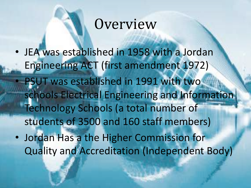## **Overview**

- JEA was established in 1958 with a Jordan Engineering ACT (first amendment 1972) PSUT was established in 1991 with two schools Electrical Engineering and Information Technology Schools (a total number of students of 3500 and 160 staff members)
- Jordan Has a the Higher Commission for Quality and Accreditation (Independent Body)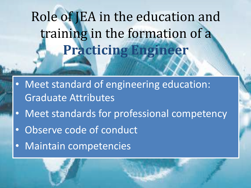## Role of JEA in the education and training in the formation of a **Practicing Engineer**

- Meet standard of engineering education: Graduate Attributes
- Meet standards for professional competency
- Observe code of conduct
- Maintain competencies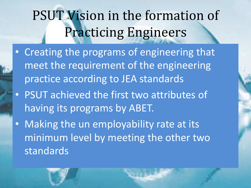## PSUT Vision in the formation of **Practicing Engineers**

- Creating the programs of engineering that meet the requirement of the engineering practice according to JEA standards
- PSUT achieved the first two attributes of having its programs by ABET.
- Making the un employability rate at its minimum level by meeting the other two standards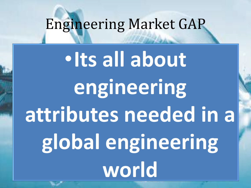## Engineering Market GAP

•**Its all about engineering attributes needed in a global engineering world**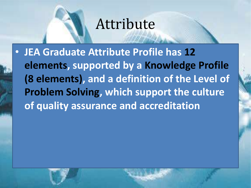#### Attribute

• **JEA Graduate Attribute Profile has 12 elements, supported by a Knowledge Profile (8 elements), and a definition of the Level of Problem Solving, which support the culture of quality assurance and accreditation**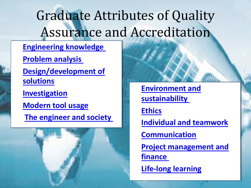## Graduate Attributes of Quality Assurance and Accreditation

• **Engineering knowledge**  • **Problem analysis**  • **Design/development of solutions** • **Investigation** • **Modern tool usage The engineer and society** 



• **Environment and sustainability** 

• **Ethics**

• **Individual and teamwork**

• **Communication**

• **Project management and finance** 

• **Life-long learning**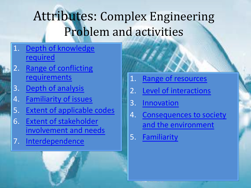### Attributes: Complex Engineering Problem and activities

- 1. Depth of knowledge required
- 2. Range of conflicting requirements
- 3. Depth of analysis
- 4. Familiarity of issues
- 5. Extent of applicable codes
- 6. Extent of stakeholder involvement and needs
- 7. Interdependence



- 2. Level of interactions
- 3. Innovation
- 4. Consequences to society and the environment
- 5. Familiarity